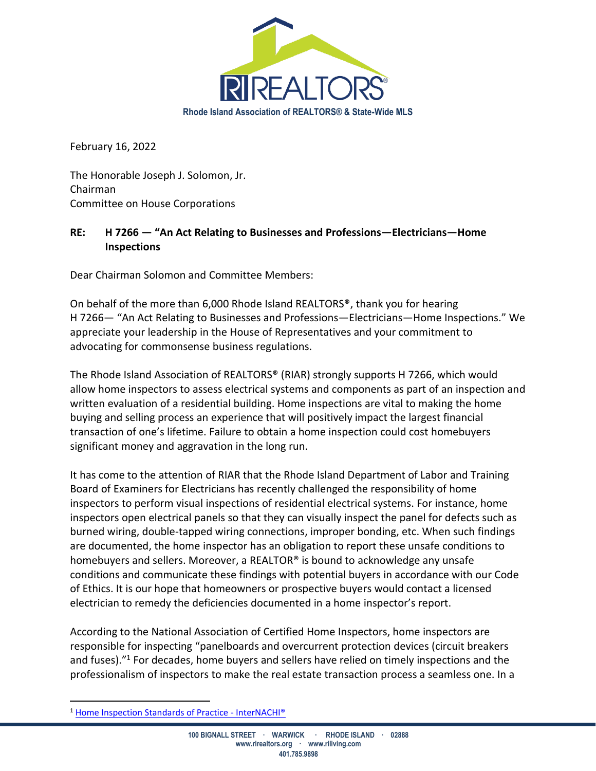

February 16, 2022

The Honorable Joseph J. Solomon, Jr. Chairman Committee on House Corporations

## **RE: H 7266 — "An Act Relating to Businesses and Professions—Electricians—Home Inspections**

Dear Chairman Solomon and Committee Members:

On behalf of the more than 6,000 Rhode Island REALTORS®, thank you for hearing H 7266— "An Act Relating to Businesses and Professions—Electricians—Home Inspections." We appreciate your leadership in the House of Representatives and your commitment to advocating for commonsense business regulations.

The Rhode Island Association of REALTORS® (RIAR) strongly supports H 7266, which would allow home inspectors to assess electrical systems and components as part of an inspection and written evaluation of a residential building. Home inspections are vital to making the home buying and selling process an experience that will positively impact the largest financial transaction of one's lifetime. Failure to obtain a home inspection could cost homebuyers significant money and aggravation in the long run.

It has come to the attention of RIAR that the Rhode Island Department of Labor and Training Board of Examiners for Electricians has recently challenged the responsibility of home inspectors to perform visual inspections of residential electrical systems. For instance, home inspectors open electrical panels so that they can visually inspect the panel for defects such as burned wiring, double-tapped wiring connections, improper bonding, etc. When such findings are documented, the home inspector has an obligation to report these unsafe conditions to homebuyers and sellers. Moreover, a REALTOR® is bound to acknowledge any unsafe conditions and communicate these findings with potential buyers in accordance with our Code of Ethics. It is our hope that homeowners or prospective buyers would contact a licensed electrician to remedy the deficiencies documented in a home inspector's report.

According to the National Association of Certified Home Inspectors, home inspectors are responsible for inspecting "panelboards and overcurrent protection devices (circuit breakers and fuses)." <sup>1</sup> For decades, home buyers and sellers have relied on timely inspections and the professionalism of inspectors to make the real estate transaction process a seamless one. In a

<sup>1</sup> [Home Inspection Standards of Practice -](https://www.nachi.org/sop.htm#electrical) InterNACHI®